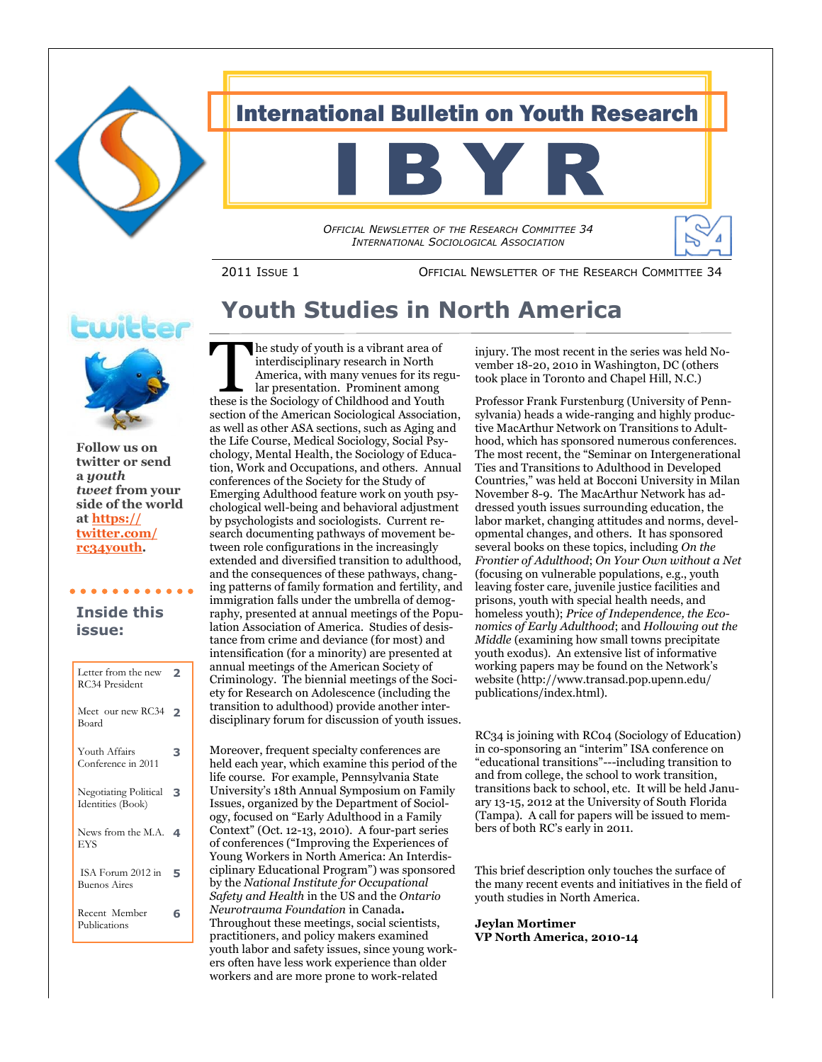

## International Bulletin on Youth Research

*OFFICIAL NEWSLETTER OF THE RESEARCH COMMITTEE 34 INTERNATIONAL SOCIOLOGICAL ASSOCIATION*

2011 ISSUE 1 OFFICIAL NEWSLETTER OF THE RESEARCH COMMITTEE 34

# **Youth Studies in North America**



**Follow us on twitter or send a** *youth tweet* **from your side of the world at [https://](https://twitter.com/rc34youth) [twitter.com/](https://twitter.com/rc34youth) [rc34youth.](https://twitter.com/rc34youth)**

### **Inside this issue:**

. . . . . . . . . . .

| Letter from the new<br><b>RC34 President</b> | っ |
|----------------------------------------------|---|
| Meet our new RC34<br>Board                   | っ |
| Youth Affairs<br>Conference in 2011          | з |
| Negotiating Political<br>Identities (Book)   | з |
| News from the M.A.<br>EYS                    | 4 |
| ISA Forum 2012 in<br><b>Buenos Aires</b>     | 5 |
| Recent Member<br>Publications                | 6 |

The study of youth is a vibrant area of interdisciplinary research in North<br>America, with many venues for its reg<br>lar presentation. Prominent among<br>these is the Sociology of Childhood and Youth he study of youth is a vibrant area of interdisciplinary research in North America, with many venues for its regular presentation. Prominent among section of the American Sociological Association, as well as other ASA sections, such as Aging and the Life Course, Medical Sociology, Social Psychology, Mental Health, the Sociology of Education, Work and Occupations, and others. Annual conferences of the Society for the Study of Emerging Adulthood feature work on youth psychological well-being and behavioral adjustment by psychologists and sociologists. Current research documenting pathways of movement between role configurations in the increasingly extended and diversified transition to adulthood, and the consequences of these pathways, changing patterns of family formation and fertility, and immigration falls under the umbrella of demography, presented at annual meetings of the Population Association of America. Studies of desistance from crime and deviance (for most) and intensification (for a minority) are presented at annual meetings of the American Society of Criminology. The biennial meetings of the Society for Research on Adolescence (including the transition to adulthood) provide another interdisciplinary forum for discussion of youth issues.

Moreover, frequent specialty conferences are held each year, which examine this period of the life course. For example, Pennsylvania State University"s 18th Annual Symposium on Family Issues, organized by the Department of Sociology, focused on "Early Adulthood in a Family Context" (Oct. 12-13, 2010). A four-part series of conferences ("Improving the Experiences of Young Workers in North America: An Interdisciplinary Educational Program") was sponsored by the *National Institute for Occupational Safety and Health* in the US and the *Ontario Neurotrauma Foundation* in Canada**.**  Throughout these meetings, social scientists, practitioners, and policy makers examined youth labor and safety issues, since young workers often have less work experience than older workers and are more prone to work-related

injury. The most recent in the series was held November 18-20, 2010 in Washington, DC (others took place in Toronto and Chapel Hill, N.C.)

õ ⇘

Professor Frank Furstenburg (University of Pennsylvania) heads a wide-ranging and highly productive MacArthur Network on Transitions to Adulthood, which has sponsored numerous conferences. The most recent, the "Seminar on Intergenerational Ties and Transitions to Adulthood in Developed Countries," was held at Bocconi University in Milan November 8-9. The MacArthur Network has addressed youth issues surrounding education, the labor market, changing attitudes and norms, developmental changes, and others. It has sponsored several books on these topics, including *On the Frontier of Adulthood*; *On Your Own without a Net* (focusing on vulnerable populations, e.g., youth leaving foster care, juvenile justice facilities and prisons, youth with special health needs, and homeless youth); *Price of Independence, the Economics of Early Adulthood*; and *Hollowing out the Middle* (examining how small towns precipitate youth exodus). An extensive list of informative working papers may be found on the Network"s website (http://www.transad.pop.upenn.edu/ publications/index.html).

RC34 is joining with RC04 (Sociology of Education) in co-sponsoring an "interim" ISA conference on "educational transitions"---including transition to and from college, the school to work transition, transitions back to school, etc. It will be held January 13-15, 2012 at the University of South Florida (Tampa). A call for papers will be issued to members of both RC"s early in 2011.

This brief description only touches the surface of the many recent events and initiatives in the field of youth studies in North America.

**Jeylan Mortimer VP North America, 2010-14**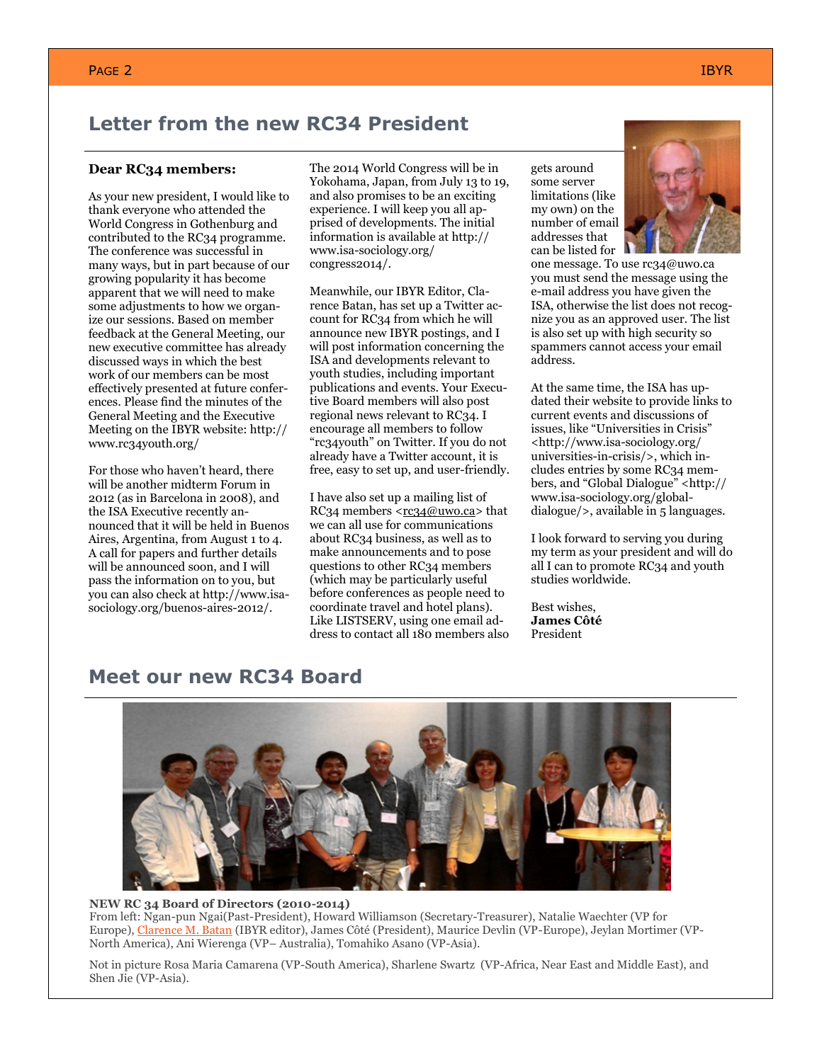### **Letter from the new RC34 President**

#### **Dear RC34 members:**

As your new president, I would like to thank everyone who attended the World Congress in Gothenburg and contributed to the RC34 programme. The conference was successful in many ways, but in part because of our growing popularity it has become apparent that we will need to make some adjustments to how we organize our sessions. Based on member feedback at the General Meeting, our new executive committee has already discussed ways in which the best work of our members can be most effectively presented at future conferences. Please find the minutes of the General Meeting and the Executive Meeting on the IBYR website: http:// www.rc34youth.org/

For those who haven"t heard, there will be another midterm Forum in 2012 (as in Barcelona in 2008), and the ISA Executive recently announced that it will be held in Buenos Aires, Argentina, from August 1 to 4. A call for papers and further details will be announced soon, and I will pass the information on to you, but you can also check at http://www.isasociology.org/buenos-aires-2012/.

The 2014 World Congress will be in Yokohama, Japan, from July 13 to 19, and also promises to be an exciting experience. I will keep you all apprised of developments. The initial information is available at http:// www.isa-sociology.org/ congress2014/.

Meanwhile, our IBYR Editor, Clarence Batan, has set up a Twitter account for RC34 from which he will announce new IBYR postings, and I will post information concerning the ISA and developments relevant to youth studies, including important publications and events. Your Executive Board members will also post regional news relevant to RC34. I encourage all members to follow "rc34youth" on Twitter. If you do not already have a Twitter account, it is free, easy to set up, and user-friendly.

I have also set up a mailing list of RC34 members  $\langle$ rc34@uwo.ca> that we can all use for communications about RC34 business, as well as to make announcements and to pose questions to other RC34 members (which may be particularly useful before conferences as people need to coordinate travel and hotel plans). Like LISTSERV, using one email address to contact all 180 members also

gets around some server limitations (like my own) on the number of email addresses that can be listed for



one message. To use rc34@uwo.ca you must send the message using the e-mail address you have given the ISA, otherwise the list does not recognize you as an approved user. The list is also set up with high security so spammers cannot access your email address.

At the same time, the ISA has updated their website to provide links to current events and discussions of issues, like "Universities in Crisis" <http://www.isa-sociology.org/ universities-in-crisis/>, which includes entries by some RC34 members, and "Global Dialogue" <http:// www.isa-sociology.org/globaldialogue/>, available in 5 languages.

I look forward to serving you during my term as your president and will do all I can to promote RC34 and youth studies worldwide.

Best wishes, **James Côté** President

### **Meet our new RC34 Board**



#### **NEW RC 34 Board of Directors (2010-2014)**

From left: Ngan-pun Ngai(Past-President), Howard Williamson (Secretary-Treasurer), Natalie Waechter (VP for Europe), [Clarence M. Batan](http://www.clarencebatan.com/) (IBYR editor), James Côté (President), Maurice Devlin (VP-Europe), Jeylan Mortimer (VP-North America), Ani Wierenga (VP– Australia), Tomahiko Asano (VP-Asia).

Not in picture Rosa Maria Camarena (VP-South America), Sharlene Swartz (VP-Africa, Near East and Middle East), and Shen Jie (VP-Asia).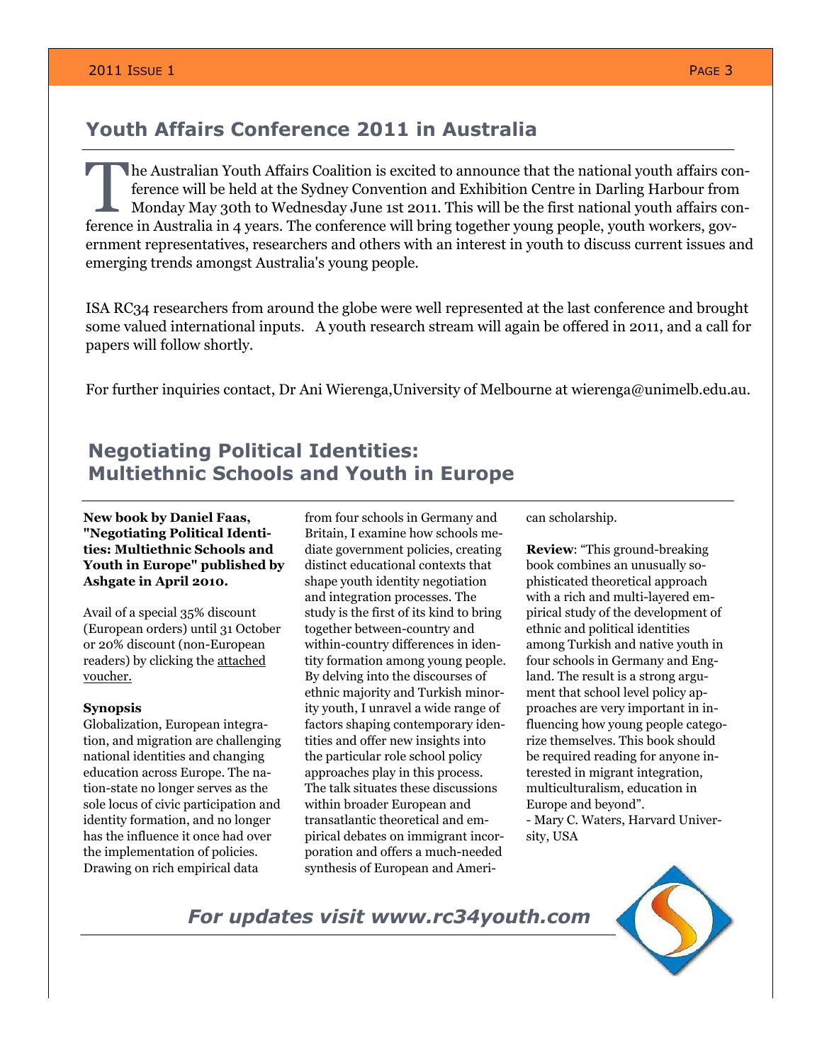### **Youth Affairs Conference 2011 in Australia**

The Australian Youth Affairs Coalition is excited to announce that the national youth affairs conference will be held at the Sydney Convention and Exhibition Centre in Darling Harbour from Monday May 30th to Wednesday June he Australian Youth Affairs Coalition is excited to announce that the national youth affairs conference will be held at the Sydney Convention and Exhibition Centre in Darling Harbour from Monday May 30th to Wednesday June 1st 2011. This will be the first national youth affairs conernment representatives, researchers and others with an interest in youth to discuss current issues and emerging trends amongst Australia's young people.

ISA RC34 researchers from around the globe were well represented at the last conference and brought some valued international inputs. A youth research stream will again be offered in 2011, and a call for papers will follow shortly.

For further inquiries contact, Dr Ani Wierenga,University of Melbourne at wierenga@unimelb.edu.au.

## **Negotiating Political Identities: Multiethnic Schools and Youth in Europe**

#### **New book by Daniel Faas, "Negotiating Political Identities: Multiethnic Schools and Youth in Europe" published by Ashgate in April 2010.**

Avail of a special 35% discount (European orders) until 31 October or 20% discount (non-European readers) by clicking the [attached](http://www.rc34youth.org/sites/default/files/pdfs/Negotiating%20Political%20Identities%20discount%20voucher.pdf)  [voucher.](http://www.rc34youth.org/sites/default/files/pdfs/Negotiating%20Political%20Identities%20discount%20voucher.pdf)

#### **Synopsis**

Globalization, European integration, and migration are challenging national identities and changing education across Europe. The nation-state no longer serves as the sole locus of civic participation and identity formation, and no longer has the influence it once had over the implementation of policies. Drawing on rich empirical data

from four schools in Germany and Britain, I examine how schools mediate government policies, creating distinct educational contexts that shape youth identity negotiation and integration processes. The study is the first of its kind to bring together between-country and within-country differences in identity formation among young people. By delving into the discourses of ethnic majority and Turkish minority youth, I unravel a wide range of factors shaping contemporary identities and offer new insights into the particular role school policy approaches play in this process. The talk situates these discussions within broader European and transatlantic theoretical and empirical debates on immigrant incorporation and offers a much-needed synthesis of European and American scholarship.

**Review**: "This ground-breaking book combines an unusually sophisticated theoretical approach with a rich and multi-layered empirical study of the development of ethnic and political identities among Turkish and native youth in four schools in Germany and England. The result is a strong argument that school level policy approaches are very important in influencing how young people categorize themselves. This book should be required reading for anyone interested in migrant integration, multiculturalism, education in Europe and beyond". - Mary C. Waters, Harvard Univer-

sity, USA

*For updates visit www.rc34youth.com* 

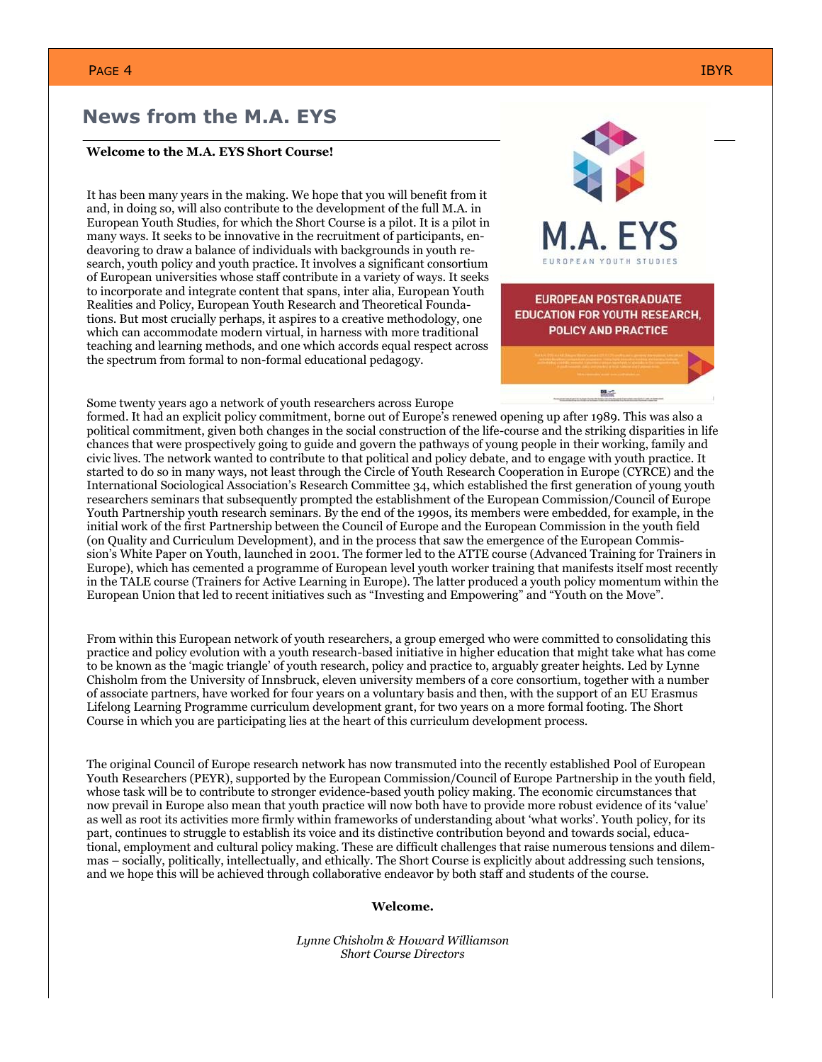### **News from the M.A. EYS**

#### **Welcome to the M.A. EYS Short Course!**

It has been many years in the making. We hope that you will benefit from it and, in doing so, will also contribute to the development of the full M.A. in European Youth Studies, for which the Short Course is a pilot. It is a pilot in many ways. It seeks to be innovative in the recruitment of participants, endeavoring to draw a balance of individuals with backgrounds in youth research, youth policy and youth practice. It involves a significant consortium of European universities whose staff contribute in a variety of ways. It seeks to incorporate and integrate content that spans, inter alia, European Youth Realities and Policy, European Youth Research and Theoretical Foundations. But most crucially perhaps, it aspires to a creative methodology, one which can accommodate modern virtual, in harness with more traditional teaching and learning methods, and one which accords equal respect across the spectrum from formal to non-formal educational pedagogy.



Some twenty years ago a network of youth researchers across Europe

formed. It had an explicit policy commitment, borne out of Europe"s renewed opening up after 1989. This was also a political commitment, given both changes in the social construction of the life-course and the striking disparities in life chances that were prospectively going to guide and govern the pathways of young people in their working, family and civic lives. The network wanted to contribute to that political and policy debate, and to engage with youth practice. It started to do so in many ways, not least through the Circle of Youth Research Cooperation in Europe (CYRCE) and the International Sociological Association"s Research Committee 34, which established the first generation of young youth researchers seminars that subsequently prompted the establishment of the European Commission/Council of Europe Youth Partnership youth research seminars. By the end of the 1990s, its members were embedded, for example, in the initial work of the first Partnership between the Council of Europe and the European Commission in the youth field (on Quality and Curriculum Development), and in the process that saw the emergence of the European Commission"s White Paper on Youth, launched in 2001. The former led to the ATTE course (Advanced Training for Trainers in Europe), which has cemented a programme of European level youth worker training that manifests itself most recently in the TALE course (Trainers for Active Learning in Europe). The latter produced a youth policy momentum within the European Union that led to recent initiatives such as "Investing and Empowering" and "Youth on the Move".

From within this European network of youth researchers, a group emerged who were committed to consolidating this practice and policy evolution with a youth research-based initiative in higher education that might take what has come to be known as the "magic triangle" of youth research, policy and practice to, arguably greater heights. Led by Lynne Chisholm from the University of Innsbruck, eleven university members of a core consortium, together with a number of associate partners, have worked for four years on a voluntary basis and then, with the support of an EU Erasmus Lifelong Learning Programme curriculum development grant, for two years on a more formal footing. The Short Course in which you are participating lies at the heart of this curriculum development process.

The original Council of Europe research network has now transmuted into the recently established Pool of European Youth Researchers (PEYR), supported by the European Commission/Council of Europe Partnership in the youth field, whose task will be to contribute to stronger evidence-based youth policy making. The economic circumstances that now prevail in Europe also mean that youth practice will now both have to provide more robust evidence of its "value" as well as root its activities more firmly within frameworks of understanding about "what works". Youth policy, for its part, continues to struggle to establish its voice and its distinctive contribution beyond and towards social, educational, employment and cultural policy making. These are difficult challenges that raise numerous tensions and dilemmas – socially, politically, intellectually, and ethically. The Short Course is explicitly about addressing such tensions, and we hope this will be achieved through collaborative endeavor by both staff and students of the course.

**Welcome.**

*Lynne Chisholm & Howard Williamson Short Course Directors*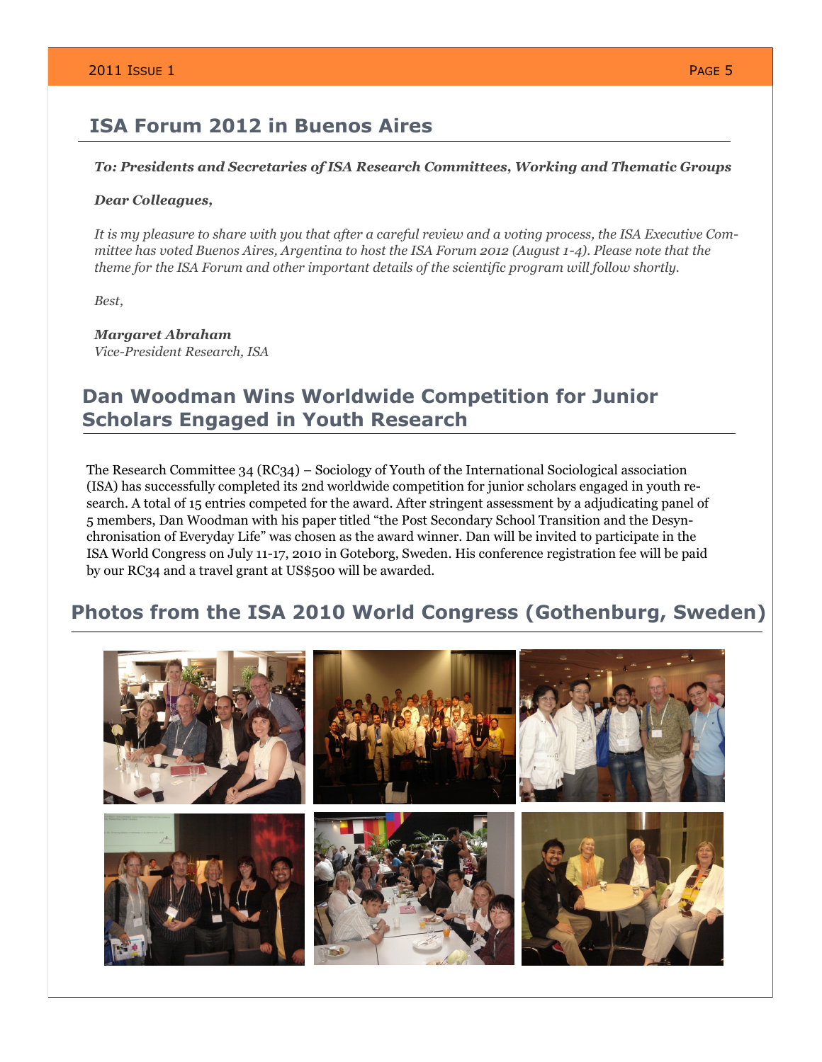### **ISA Forum 2012 in Buenos Aires**

#### *To: Presidents and Secretaries of ISA Research Committees, Working and Thematic Groups*

#### *Dear Colleagues,*

*It is my pleasure to share with you that after a careful review and a voting process, the ISA Executive Committee has voted Buenos Aires, Argentina to host the ISA Forum 2012 (August 1-4). Please note that the theme for the ISA Forum and other important details of the scientific program will follow shortly.*

*Best,*

*Margaret Abraham Vice-President Research, ISA*

### **Dan Woodman Wins Worldwide Competition for Junior Scholars Engaged in Youth Research**

The Research Committee 34 (RC34) – Sociology of Youth of the International Sociological association (ISA) has successfully completed its 2nd worldwide competition for junior scholars engaged in youth research. A total of 15 entries competed for the award. After stringent assessment by a adjudicating panel of 5 members, Dan Woodman with his paper titled "the Post Secondary School Transition and the Desynchronisation of Everyday Life" was chosen as the award winner. Dan will be invited to participate in the ISA World Congress on July 11-17, 2010 in Goteborg, Sweden. His conference registration fee will be paid by our RC34 and a travel grant at US\$500 will be awarded.

### **Photos from the ISA 2010 World Congress (Gothenburg, Sweden)**